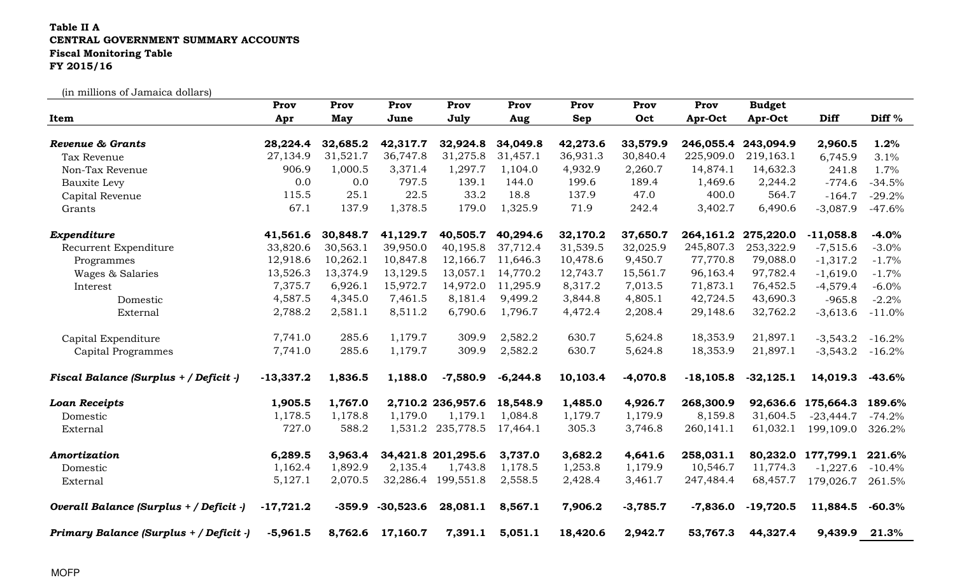## Table II A CENTRAL GOVERNMENT SUMMARY ACCOUNTS Fiscal Monitoring TableFY 2015/16

(in millions of Jamaica dollars)

|                                         | Prov        | Prov     | Prov        | Prov               | Prov       | Prov     | Prov       | Prov        | <b>Budget</b> |                    |                       |
|-----------------------------------------|-------------|----------|-------------|--------------------|------------|----------|------------|-------------|---------------|--------------------|-----------------------|
| Item                                    | Apr         | May      | June        | July               | Aug        | Sep      | Oct        | Apr-Oct     | Apr-Oct       | <b>Diff</b>        | Diff %                |
| <b>Revenue &amp; Grants</b>             | 28,224.4    | 32,685.2 | 42,317.7    | 32,924.8           | 34,049.8   | 42,273.6 | 33,579.9   | 246,055.4   | 243,094.9     | 2,960.5            | 1.2%                  |
| Tax Revenue                             | 27,134.9    | 31,521.7 | 36,747.8    | 31,275.8           | 31,457.1   | 36,931.3 | 30,840.4   | 225,909.0   | 219,163.1     | 6,745.9            | 3.1%                  |
| Non-Tax Revenue                         | 906.9       | 1,000.5  | 3,371.4     | 1,297.7            | 1,104.0    | 4,932.9  | 2,260.7    | 14,874.1    | 14,632.3      | 241.8              | 1.7%                  |
| <b>Bauxite Levy</b>                     | 0.0         | 0.0      | 797.5       | 139.1              | 144.0      | 199.6    | 189.4      | 1,469.6     | 2,244.2       | $-774.6$           | $-34.5%$              |
| Capital Revenue                         | 115.5       | 25.1     | 22.5        | 33.2               | 18.8       | 137.9    | 47.0       | 400.0       | 564.7         | $-164.7$           | $-29.2%$              |
| Grants                                  | 67.1        | 137.9    | 1,378.5     | 179.0              | 1,325.9    | 71.9     | 242.4      | 3,402.7     | 6,490.6       | $-3,087.9$         | $-47.6%$              |
| Expenditure                             | 41,561.6    | 30,848.7 | 41,129.7    | 40,505.7           | 40,294.6   | 32,170.2 | 37,650.7   | 264,161.2   | 275,220.0     | $-11,058.8$        | $-4.0%$               |
| Recurrent Expenditure                   | 33,820.6    | 30,563.1 | 39,950.0    | 40,195.8           | 37,712.4   | 31,539.5 | 32,025.9   | 245,807.3   | 253,322.9     | $-7,515.6$         | $-3.0%$               |
| Programmes                              | 12,918.6    | 10,262.1 | 10,847.8    | 12,166.7           | 11,646.3   | 10,478.6 | 9,450.7    | 77,770.8    | 79,088.0      | $-1,317.2$         | $-1.7%$               |
| Wages & Salaries                        | 13,526.3    | 13,374.9 | 13,129.5    | 13,057.1           | 14,770.2   | 12,743.7 | 15,561.7   | 96,163.4    | 97,782.4      | $-1,619.0$         | $-1.7%$               |
| Interest                                | 7,375.7     | 6,926.1  | 15,972.7    | 14,972.0           | 11,295.9   | 8,317.2  | 7,013.5    | 71,873.1    | 76,452.5      | $-4,579.4$         | $-6.0%$               |
| Domestic                                | 4,587.5     | 4,345.0  | 7,461.5     | 8,181.4            | 9,499.2    | 3,844.8  | 4,805.1    | 42,724.5    | 43,690.3      | $-965.8$           | $-2.2%$               |
| External                                | 2,788.2     | 2,581.1  | 8,511.2     | 6,790.6            | 1,796.7    | 4,472.4  | 2,208.4    | 29,148.6    | 32,762.2      | $-3,613.6$         | $-11.0%$              |
| Capital Expenditure                     | 7,741.0     | 285.6    | 1,179.7     | 309.9              | 2,582.2    | 630.7    | 5,624.8    | 18,353.9    | 21,897.1      | $-3,543.2$         | $-16.2%$              |
| <b>Capital Programmes</b>               | 7,741.0     | 285.6    | 1,179.7     | 309.9              | 2,582.2    | 630.7    | 5,624.8    | 18,353.9    | 21,897.1      | $-3,543.2$         | $-16.2%$              |
| Fiscal Balance (Surplus + / Deficit -)  | $-13,337.2$ | 1,836.5  | 1,188.0     | $-7,580.9$         | $-6,244.8$ | 10,103.4 | $-4,070.8$ | $-18,105.8$ | $-32,125.1$   | 14,019.3           | $-43.6%$              |
| <b>Loan Receipts</b>                    | 1,905.5     | 1,767.0  |             | 2,710.2 236,957.6  | 18,548.9   | 1,485.0  | 4,926.7    | 268,300.9   |               | 92,636.6 175,664.3 | 189.6%                |
| Domestic                                | 1,178.5     | 1,178.8  | 1,179.0     | 1,179.1            | 1,084.8    | 1,179.7  | 1,179.9    | 8,159.8     | 31,604.5      | $-23,444.7$        | $-74.2%$              |
| External                                | 727.0       | 588.2    |             | 1,531.2 235,778.5  | 17,464.1   | 305.3    | 3,746.8    | 260,141.1   | 61,032.1      | 199,109.0          | 326.2%                |
| Amortization                            | 6,289.5     | 3,963.4  |             | 34,421.8 201,295.6 | 3,737.0    | 3,682.2  | 4,641.6    | 258,031.1   |               | 80,232.0 177,799.1 | 221.6%                |
| Domestic                                | 1,162.4     | 1,892.9  | 2,135.4     | 1,743.8            | 1,178.5    | 1,253.8  | 1,179.9    | 10,546.7    | 11,774.3      | $-1,227.6$         | $-10.4%$              |
| External                                | 5,127.1     | 2,070.5  | 32,286.4    | 199,551.8          | 2,558.5    | 2,428.4  | 3,461.7    | 247,484.4   | 68,457.7      | 179,026.7          | 261.5%                |
| Overall Balance (Surplus + / Deficit -) | $-17,721.2$ | $-359.9$ | $-30,523.6$ | 28,081.1           | 8,567.1    | 7,906.2  | $-3,785.7$ | $-7,836.0$  | $-19,720.5$   | 11,884.5           | $-60.3\%$             |
| Primary Balance (Surplus + / Deficit -) | $-5,961.5$  | 8,762.6  | 17,160.7    | 7,391.1            | 5,051.1    | 18,420.6 | 2,942.7    | 53,767.3    | 44,327.4      | 9,439.9            | $\boldsymbol{21.3\%}$ |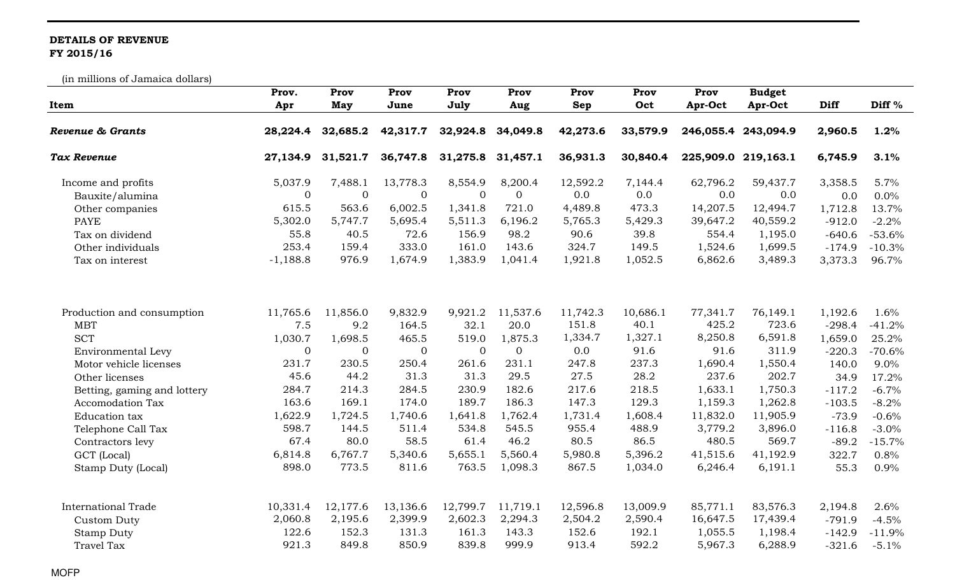## DETAILS OF REVENUE FY 2015/16

(in millions of Jamaica dollars)

|                             | Prov.        | Prov         | Prov           | Prov           | Prov           | Prov       | Prov     | Prov     | <b>Budget</b>       |          |                   |
|-----------------------------|--------------|--------------|----------------|----------------|----------------|------------|----------|----------|---------------------|----------|-------------------|
| Item                        | Apr          | May          | June           | July           | Aug            | <b>Sep</b> | Oct      | Apr-Oct  | Apr-Oct             | Diff     | Diff <sup>%</sup> |
| Revenue & Grants            | 28,224.4     | 32,685.2     | 42,317.7       | 32,924.8       | 34,049.8       | 42,273.6   | 33,579.9 |          | 246,055.4 243,094.9 | 2,960.5  | 1.2%              |
| <b>Tax Revenue</b>          | 27,134.9     | 31,521.7     | 36,747.8       | 31,275.8       | 31,457.1       | 36,931.3   | 30,840.4 |          | 225,909.0 219,163.1 | 6,745.9  | 3.1%              |
| Income and profits          | 5,037.9      | 7,488.1      | 13,778.3       | 8,554.9        | 8,200.4        | 12,592.2   | 7,144.4  | 62,796.2 | 59,437.7            | 3,358.5  | 5.7%              |
| Bauxite/alumina             | $\mathbf{0}$ | $\mathbf{0}$ | $\mathbf{0}$   | $\overline{0}$ | $\overline{0}$ | 0.0        | 0.0      | 0.0      | 0.0                 | 0.0      | 0.0%              |
| Other companies             | 615.5        | 563.6        | 6,002.5        | 1,341.8        | 721.0          | 4,489.8    | 473.3    | 14,207.5 | 12,494.7            | 1,712.8  | 13.7%             |
| <b>PAYE</b>                 | 5,302.0      | 5,747.7      | 5,695.4        | 5,511.3        | 6,196.2        | 5,765.3    | 5,429.3  | 39,647.2 | 40,559.2            | $-912.0$ | $-2.2%$           |
| Tax on dividend             | 55.8         | 40.5         | 72.6           | 156.9          | 98.2           | 90.6       | 39.8     | 554.4    | 1,195.0             | $-640.6$ | $-53.6%$          |
| Other individuals           | 253.4        | 159.4        | 333.0          | 161.0          | 143.6          | 324.7      | 149.5    | 1,524.6  | 1,699.5             | $-174.9$ | $-10.3%$          |
| Tax on interest             | $-1,188.8$   | 976.9        | 1,674.9        | 1,383.9        | 1,041.4        | 1,921.8    | 1,052.5  | 6,862.6  | 3,489.3             | 3,373.3  | 96.7%             |
| Production and consumption  | 11,765.6     | 11,856.0     | 9,832.9        | 9,921.2        | 11,537.6       | 11,742.3   | 10,686.1 | 77,341.7 | 76,149.1            | 1,192.6  | 1.6%              |
| <b>MBT</b>                  | 7.5          | 9.2          | 164.5          | 32.1           | 20.0           | 151.8      | 40.1     | 425.2    | 723.6               | $-298.4$ | $-41.2%$          |
| <b>SCT</b>                  | 1,030.7      | 1,698.5      | 465.5          | 519.0          | 1,875.3        | 1,334.7    | 1,327.1  | 8,250.8  | 6,591.8             | 1,659.0  | 25.2%             |
| Environmental Levy          | $\mathbf 0$  | 0            | $\overline{0}$ | $\overline{0}$ | $\mathbf{0}$   | 0.0        | 91.6     | 91.6     | 311.9               | $-220.3$ | $-70.6%$          |
| Motor vehicle licenses      | 231.7        | 230.5        | 250.4          | 261.6          | 231.1          | 247.8      | 237.3    | 1,690.4  | 1,550.4             | 140.0    | 9.0%              |
| Other licenses              | 45.6         | 44.2         | 31.3           | 31.3           | 29.5           | 27.5       | 28.2     | 237.6    | 202.7               | 34.9     | 17.2%             |
| Betting, gaming and lottery | 284.7        | 214.3        | 284.5          | 230.9          | 182.6          | 217.6      | 218.5    | 1,633.1  | 1,750.3             | $-117.2$ | $-6.7%$           |
| <b>Accomodation Tax</b>     | 163.6        | 169.1        | 174.0          | 189.7          | 186.3          | 147.3      | 129.3    | 1,159.3  | 1,262.8             | $-103.5$ | $-8.2%$           |
| Education tax               | 1,622.9      | 1,724.5      | 1,740.6        | 1,641.8        | 1,762.4        | 1,731.4    | 1,608.4  | 11,832.0 | 11,905.9            | $-73.9$  | $-0.6%$           |
| Telephone Call Tax          | 598.7        | 144.5        | 511.4          | 534.8          | 545.5          | 955.4      | 488.9    | 3,779.2  | 3,896.0             | $-116.8$ | $-3.0%$           |
| Contractors levy            | 67.4         | 80.0         | 58.5           | 61.4           | 46.2           | 80.5       | 86.5     | 480.5    | 569.7               | $-89.2$  | $-15.7%$          |
| GCT (Local)                 | 6,814.8      | 6,767.7      | 5,340.6        | 5,655.1        | 5,560.4        | 5,980.8    | 5,396.2  | 41,515.6 | 41,192.9            | 322.7    | 0.8%              |
| Stamp Duty (Local)          | 898.0        | 773.5        | 811.6          | 763.5          | 1,098.3        | 867.5      | 1,034.0  | 6,246.4  | 6,191.1             | 55.3     | 0.9%              |
|                             |              |              |                |                |                |            |          |          |                     |          |                   |
| <b>International Trade</b>  | 10,331.4     | 12,177.6     | 13,136.6       | 12,799.7       | 11,719.1       | 12,596.8   | 13,009.9 | 85,771.1 | 83,576.3            | 2,194.8  | 2.6%              |
| <b>Custom Duty</b>          | 2,060.8      | 2,195.6      | 2,399.9        | 2,602.3        | 2,294.3        | 2,504.2    | 2,590.4  | 16,647.5 | 17,439.4            | $-791.9$ | $-4.5%$           |
| <b>Stamp Duty</b>           | 122.6        | 152.3        | 131.3          | 161.3          | 143.3          | 152.6      | 192.1    | 1,055.5  | 1,198.4             | $-142.9$ | $-11.9%$          |
| <b>Travel Tax</b>           | 921.3        | 849.8        | 850.9          | 839.8          | 999.9          | 913.4      | 592.2    | 5,967.3  | 6,288.9             | $-321.6$ | $-5.1%$           |